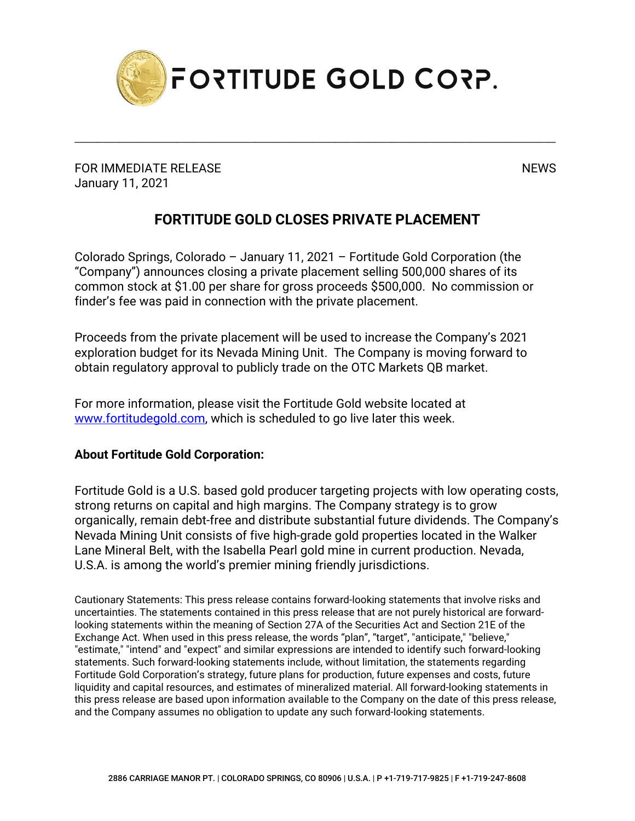

\_\_\_\_\_\_\_\_\_\_\_\_\_\_\_\_\_\_\_\_\_\_\_\_\_\_\_\_\_\_\_\_\_\_\_\_\_\_\_\_\_\_\_\_\_\_\_\_\_\_\_\_\_\_\_\_\_\_\_\_\_\_\_\_\_\_\_\_\_\_\_\_\_\_\_\_\_\_\_\_\_\_\_\_\_

FOR IMMEDIATE RELEASE NEWS AND THE SERVICE OF THE SERVICE OF THE SERVICE OF THE SERVICE OF THE SERVICE OF THE SERVICE OF THE SERVICE OF THE SERVICE OF THE SERVICE OF THE SERVICE OF THE SERVICE OF THE SERVICE OF THE SERVICE January 11, 2021

## **FORTITUDE GOLD CLOSES PRIVATE PLACEMENT**

Colorado Springs, Colorado – January 11, 2021 – Fortitude Gold Corporation (the "Company") announces closing a private placement selling 500,000 shares of its common stock at \$1.00 per share for gross proceeds \$500,000. No commission or finder's fee was paid in connection with the private placement.

Proceeds from the private placement will be used to increase the Company's 2021 exploration budget for its Nevada Mining Unit. The Company is moving forward to obtain regulatory approval to publicly trade on the OTC Markets QB market.

For more information, please visit the Fortitude Gold website located at [www.fortitudegold.com,](http://www.fortitudegold.com/) which is scheduled to go live later this week.

## **About Fortitude Gold Corporation:**

Fortitude Gold is a U.S. based gold producer targeting projects with low operating costs, strong returns on capital and high margins. The Company strategy is to grow organically, remain debt-free and distribute substantial future dividends. The Company's Nevada Mining Unit consists of five high-grade gold properties located in the Walker Lane Mineral Belt, with the Isabella Pearl gold mine in current production. Nevada, U.S.A. is among the world's premier mining friendly jurisdictions.

Cautionary Statements: This press release contains forward-looking statements that involve risks and uncertainties. The statements contained in this press release that are not purely historical are forwardlooking statements within the meaning of Section 27A of the Securities Act and Section 21E of the Exchange Act. When used in this press release, the words "plan", "target", "anticipate," "believe," "estimate," "intend" and "expect" and similar expressions are intended to identify such forward-looking statements. Such forward-looking statements include, without limitation, the statements regarding Fortitude Gold Corporation's strategy, future plans for production, future expenses and costs, future liquidity and capital resources, and estimates of mineralized material. All forward-looking statements in this press release are based upon information available to the Company on the date of this press release, and the Company assumes no obligation to update any such forward-looking statements.